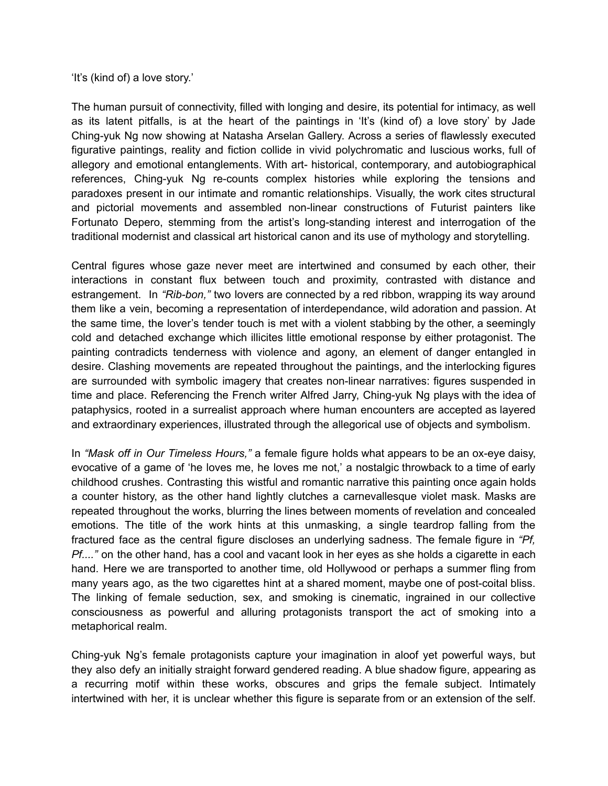'It's (kind of) a love story.'

The human pursuit of connectivity, filled with longing and desire, its potential for intimacy, as well as its latent pitfalls, is at the heart of the paintings in 'It's (kind of) a love story' by Jade Ching-yuk Ng now showing at Natasha Arselan Gallery. Across a series of flawlessly executed figurative paintings, reality and fiction collide in vivid polychromatic and luscious works, full of allegory and emotional entanglements. With art- historical, contemporary, and autobiographical references, Ching-yuk Ng re-counts complex histories while exploring the tensions and paradoxes present in our intimate and romantic relationships. Visually, the work cites structural and pictorial movements and assembled non-linear constructions of Futurist painters like Fortunato Depero, stemming from the artist's long-standing interest and interrogation of the traditional modernist and classical art historical canon and its use of mythology and storytelling.

Central figures whose gaze never meet are intertwined and consumed by each other, their interactions in constant flux between touch and proximity, contrasted with distance and estrangement. In *"Rib-bon,"* two lovers are connected by a red ribbon, wrapping its way around them like a vein, becoming a representation of interdependance, wild adoration and passion. At the same time, the lover's tender touch is met with a violent stabbing by the other, a seemingly cold and detached exchange which illicites little emotional response by either protagonist. The painting contradicts tenderness with violence and agony, an element of danger entangled in desire. Clashing movements are repeated throughout the paintings, and the interlocking figures are surrounded with symbolic imagery that creates non-linear narratives: figures suspended in time and place. Referencing the French writer Alfred Jarry, Ching-yuk Ng plays with the idea of pataphysics, rooted in a surrealist approach where human encounters are accepted as layered and extraordinary experiences, illustrated through the allegorical use of objects and symbolism.

In *"Mask off in Our Timeless Hours,"* a female figure holds what appears to be an ox-eye daisy, evocative of a game of 'he loves me, he loves me not,' a nostalgic throwback to a time of early childhood crushes. Contrasting this wistful and romantic narrative this painting once again holds a counter history, as the other hand lightly clutches a carnevallesque violet mask. Masks are repeated throughout the works, blurring the lines between moments of revelation and concealed emotions. The title of the work hints at this unmasking, a single teardrop falling from the fractured face as the central figure discloses an underlying sadness. The female figure in *"Pf, Pf....*" on the other hand, has a cool and vacant look in her eyes as she holds a cigarette in each hand. Here we are transported to another time, old Hollywood or perhaps a summer fling from many years ago, as the two cigarettes hint at a shared moment, maybe one of post-coital bliss. The linking of female seduction, sex, and smoking is cinematic, ingrained in our collective consciousness as powerful and alluring protagonists transport the act of smoking into a metaphorical realm.

Ching-yuk Ng's female protagonists capture your imagination in aloof yet powerful ways, but they also defy an initially straight forward gendered reading. A blue shadow figure, appearing as a recurring motif within these works, obscures and grips the female subject. Intimately intertwined with her, it is unclear whether this figure is separate from or an extension of the self.